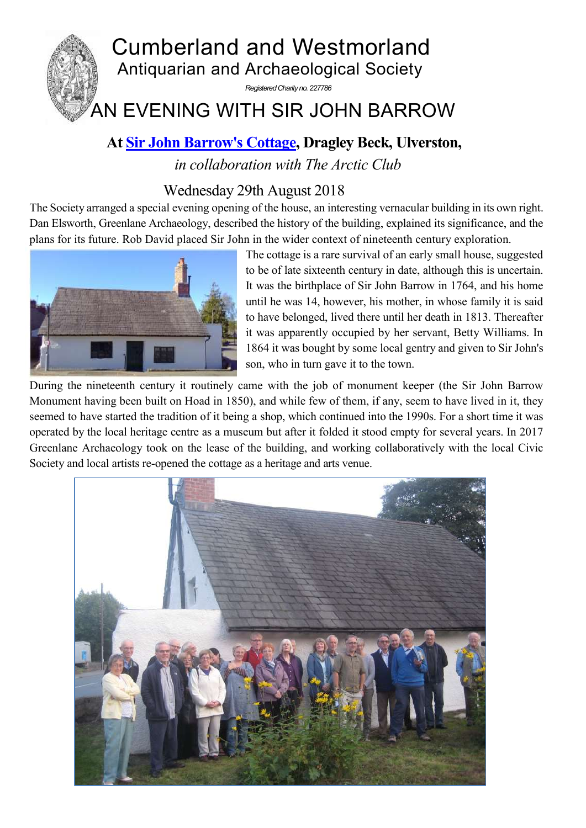

## **At [Sir John Barrow's Cottage,](http://www.ulverstoncouncil.org.uk/john-barrow-monument/john-barrow-cottage/) Dragley Beck, Ulverston,**

*in collaboration with The Arctic Club* 

## Wednesday 29th August 2018

The Society arranged a special evening opening of the house, an interesting vernacular building in its own right. Dan Elsworth, Greenlane Archaeology, described the history of the building, explained its significance, and the plans for its future. Rob David placed Sir John in the wider context of nineteenth century exploration.



The cottage is a rare survival of an early small house, suggested to be of late sixteenth century in date, although this is uncertain. It was the birthplace of Sir John Barrow in 1764, and his home until he was 14, however, his mother, in whose family it is said to have belonged, lived there until her death in 1813. Thereafter it was apparently occupied by her servant, Betty Williams. In 1864 it was bought by some local gentry and given to Sir John's son, who in turn gave it to the town.

During the nineteenth century it routinely came with the job of monument keeper (the Sir John Barrow Monument having been built on Hoad in 1850), and while few of them, if any, seem to have lived in it, they seemed to have started the tradition of it being a shop, which continued into the 1990s. For a short time it was operated by the local heritage centre as a museum but after it folded it stood empty for several years. In 2017 Greenlane Archaeology took on the lease of the building, and working collaboratively with the local Civic Society and local artists re-opened the cottage as a heritage and arts venue.